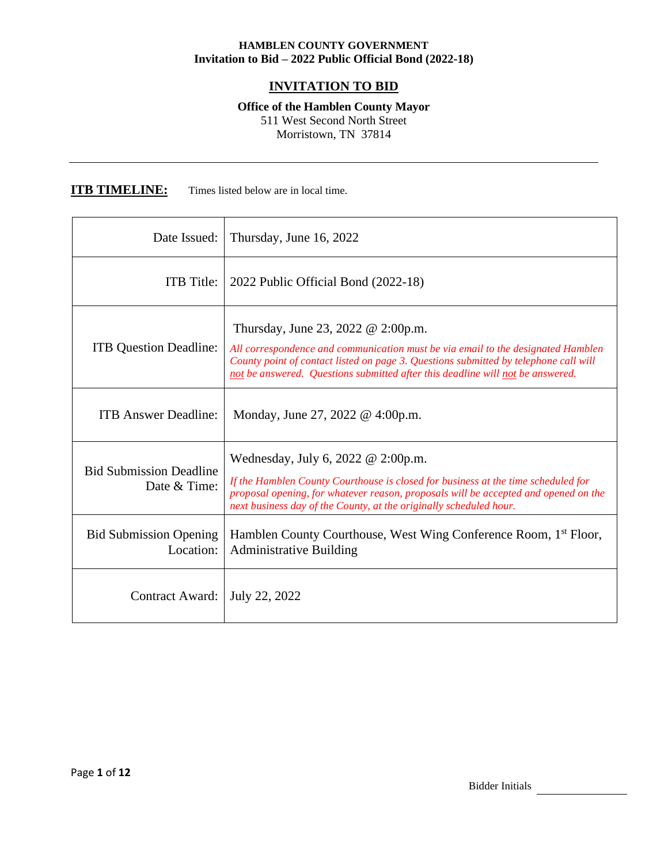# **INVITATION TO BID**

**Office of the Hamblen County Mayor**

511 West Second North Street Morristown, TN 37814

**ITB TIMELINE:** Times listed below are in local time.

| Date Issued:                                   | Thursday, June 16, 2022                                                                                                                                                                                                                                                                            |
|------------------------------------------------|----------------------------------------------------------------------------------------------------------------------------------------------------------------------------------------------------------------------------------------------------------------------------------------------------|
| <b>ITB</b> Title:                              | 2022 Public Official Bond (2022-18)                                                                                                                                                                                                                                                                |
| <b>ITB</b> Question Deadline:                  | Thursday, June 23, 2022 $@ 2:00p.m.$<br>All correspondence and communication must be via email to the designated Hamblen<br>County point of contact listed on page 3. Questions submitted by telephone call will<br>not be answered. Questions submitted after this deadline will not be answered. |
| <b>ITB</b> Answer Deadline:                    | Monday, June 27, 2022 @ 4:00p.m.                                                                                                                                                                                                                                                                   |
| <b>Bid Submission Deadline</b><br>Date & Time: | Wednesday, July 6, 2022 $\omega$ 2:00p.m.<br>If the Hamblen County Courthouse is closed for business at the time scheduled for<br>proposal opening, for whatever reason, proposals will be accepted and opened on the<br>next business day of the County, at the originally scheduled hour.        |
| <b>Bid Submission Opening</b><br>Location:     | Hamblen County Courthouse, West Wing Conference Room, 1 <sup>st</sup> Floor,<br><b>Administrative Building</b>                                                                                                                                                                                     |
| Contract Award:                                | July 22, 2022                                                                                                                                                                                                                                                                                      |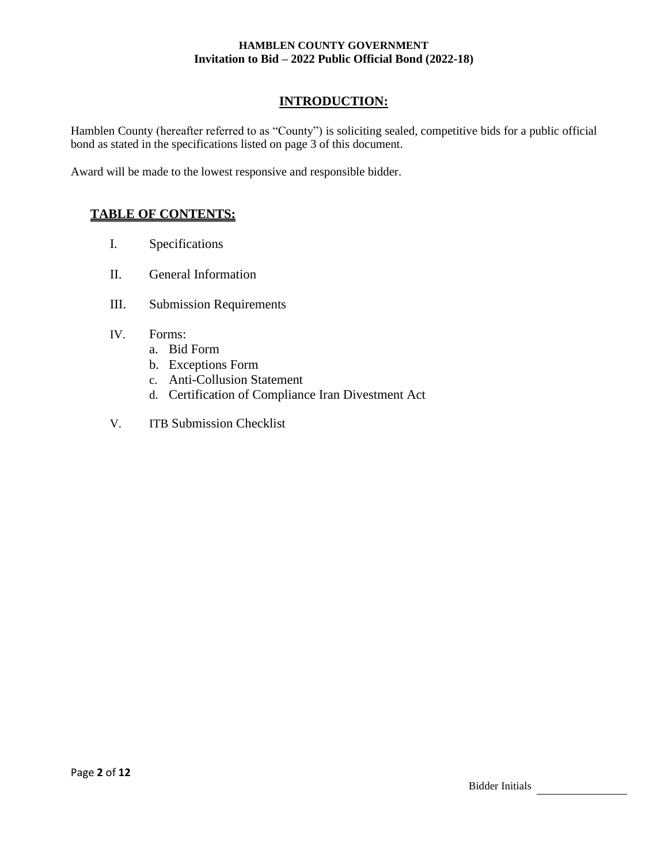## **INTRODUCTION:**

Hamblen County (hereafter referred to as "County") is soliciting sealed, competitive bids for a public official bond as stated in the specifications listed on page 3 of this document.

Award will be made to the lowest responsive and responsible bidder.

## **TABLE OF CONTENTS:**

- I. Specifications
- II. General Information
- III. Submission Requirements
- IV. Forms:
	- a. Bid Form
	- b. Exceptions Form
	- c. Anti-Collusion Statement
	- d. Certification of Compliance Iran Divestment Act
- V. ITB Submission Checklist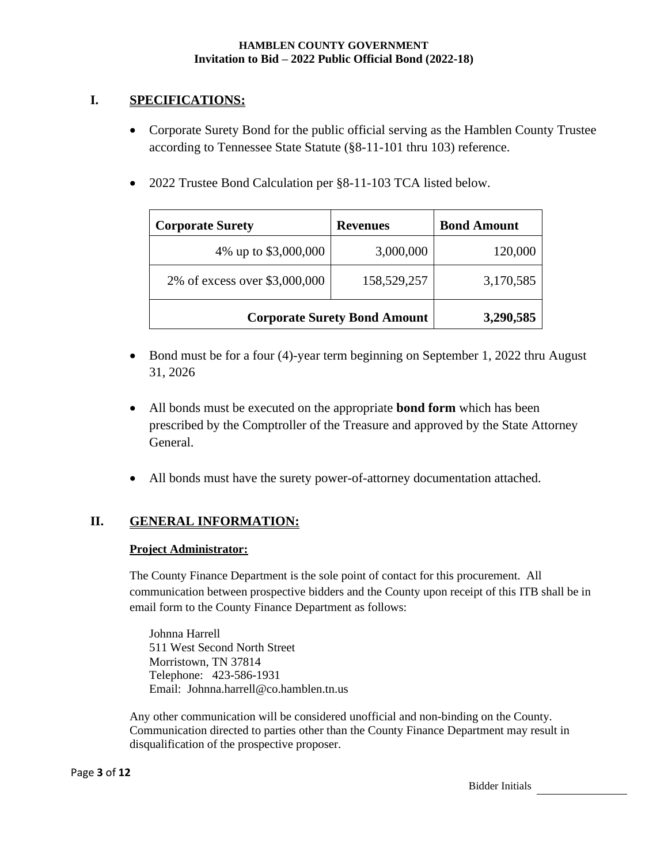## **I. SPECIFICATIONS:**

- Corporate Surety Bond for the public official serving as the Hamblen County Trustee according to Tennessee State Statute (§8-11-101 thru 103) reference.
- 2022 Trustee Bond Calculation per §8-11-103 TCA listed below.

| <b>Corporate Surety</b>             | <b>Revenues</b> | <b>Bond Amount</b> |
|-------------------------------------|-----------------|--------------------|
| 4% up to \$3,000,000                | 3,000,000       | 120,000            |
| 2% of excess over \$3,000,000       | 158,529,257     | 3,170,585          |
| <b>Corporate Surety Bond Amount</b> |                 | 3,290,585          |

- Bond must be for a four (4)-year term beginning on September 1, 2022 thru August 31, 2026
- All bonds must be executed on the appropriate **bond form** which has been prescribed by the Comptroller of the Treasure and approved by the State Attorney General.
- All bonds must have the surety power-of-attorney documentation attached.

# **II. GENERAL INFORMATION:**

## **Project Administrator:**

The County Finance Department is the sole point of contact for this procurement. All communication between prospective bidders and the County upon receipt of this ITB shall be in email form to the County Finance Department as follows:

Johnna Harrell 511 West Second North Street Morristown, TN 37814 Telephone: 423-586-1931 Email: [Johnna.harrell@co.hamblen.tn.us](mailto:Johnna.harrell@co.hamblen.tn.us)

Any other communication will be considered unofficial and non-binding on the County. Communication directed to parties other than the County Finance Department may result in disqualification of the prospective proposer.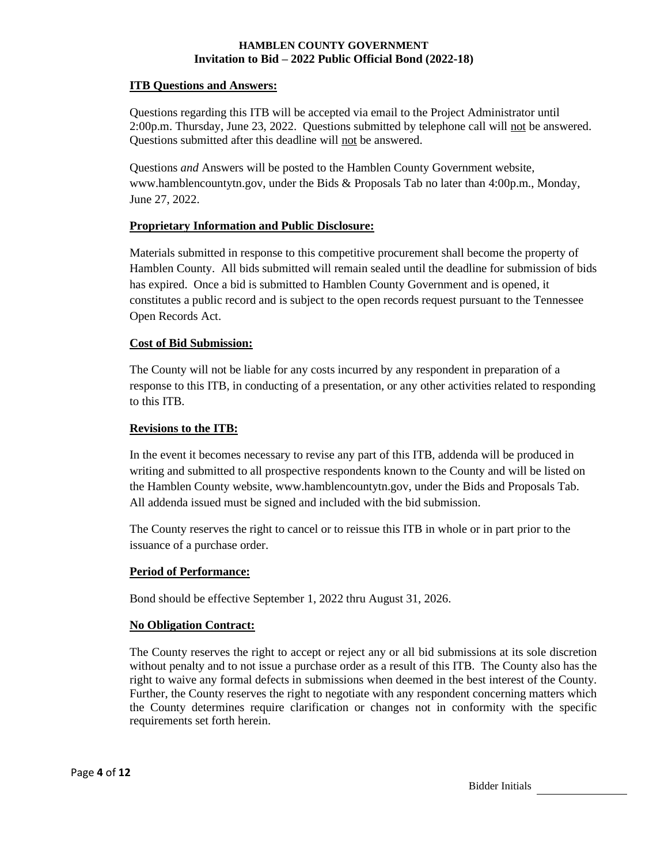#### **ITB Questions and Answers:**

Questions regarding this ITB will be accepted via email to the Project Administrator until 2:00p.m. Thursday, June 23, 2022. Questions submitted by telephone call will not be answered. Questions submitted after this deadline will not be answered.

Questions *and* Answers will be posted to the Hamblen County Government website, www.hamblencountytn.gov, under the Bids & Proposals Tab no later than 4:00p.m., Monday, June 27, 2022.

## **Proprietary Information and Public Disclosure:**

Materials submitted in response to this competitive procurement shall become the property of Hamblen County. All bids submitted will remain sealed until the deadline for submission of bids has expired. Once a bid is submitted to Hamblen County Government and is opened, it constitutes a public record and is subject to the open records request pursuant to the Tennessee Open Records Act.

#### **Cost of Bid Submission:**

The County will not be liable for any costs incurred by any respondent in preparation of a response to this ITB, in conducting of a presentation, or any other activities related to responding to this ITB.

### **Revisions to the ITB:**

In the event it becomes necessary to revise any part of this ITB, addenda will be produced in writing and submitted to all prospective respondents known to the County and will be listed on the Hamblen County website, www.hamblencountytn.gov, under the Bids and Proposals Tab. All addenda issued must be signed and included with the bid submission.

The County reserves the right to cancel or to reissue this ITB in whole or in part prior to the issuance of a purchase order.

#### **Period of Performance:**

Bond should be effective September 1, 2022 thru August 31, 2026.

#### **No Obligation Contract:**

The County reserves the right to accept or reject any or all bid submissions at its sole discretion without penalty and to not issue a purchase order as a result of this ITB. The County also has the right to waive any formal defects in submissions when deemed in the best interest of the County. Further, the County reserves the right to negotiate with any respondent concerning matters which the County determines require clarification or changes not in conformity with the specific requirements set forth herein.

Bidder Initials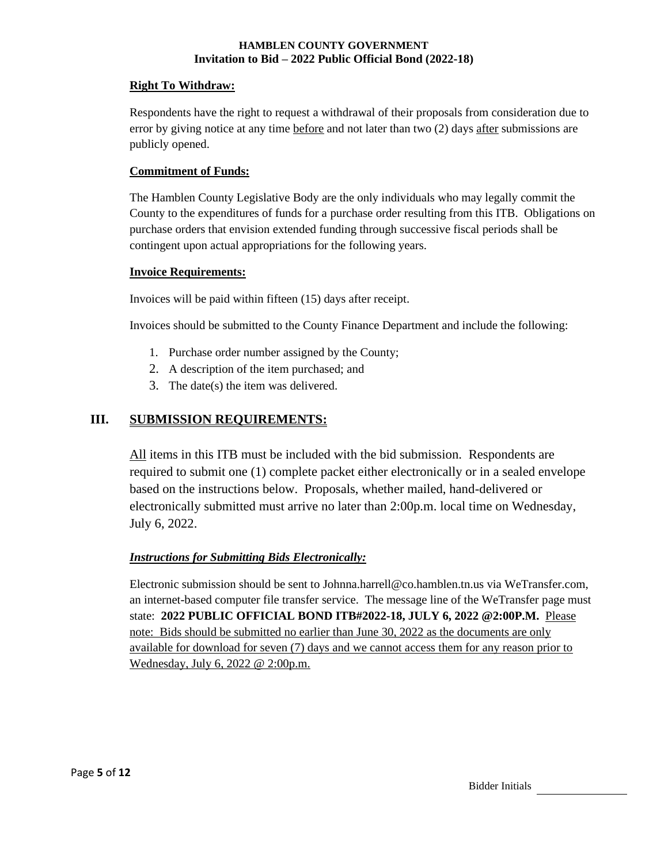## **Right To Withdraw:**

Respondents have the right to request a withdrawal of their proposals from consideration due to error by giving notice at any time before and not later than two (2) days after submissions are publicly opened.

## **Commitment of Funds:**

The Hamblen County Legislative Body are the only individuals who may legally commit the County to the expenditures of funds for a purchase order resulting from this ITB. Obligations on purchase orders that envision extended funding through successive fiscal periods shall be contingent upon actual appropriations for the following years.

## **Invoice Requirements:**

Invoices will be paid within fifteen (15) days after receipt.

Invoices should be submitted to the County Finance Department and include the following:

- 1. Purchase order number assigned by the County;
- 2. A description of the item purchased; and
- 3. The date(s) the item was delivered.

# **III. SUBMISSION REQUIREMENTS:**

All items in this ITB must be included with the bid submission. Respondents are required to submit one (1) complete packet either electronically or in a sealed envelope based on the instructions below. Proposals, whether mailed, hand-delivered or electronically submitted must arrive no later than 2:00p.m. local time on Wednesday, July 6, 2022.

## *Instructions for Submitting Bids Electronically:*

Electronic submission should be sent to Johnna.harrell@co.hamblen.tn.us via WeTransfer.com, an internet-based computer file transfer service. The message line of the WeTransfer page must state: **2022 PUBLIC OFFICIAL BOND ITB#2022-18, JULY 6, 2022 @2:00P.M.** Please note: Bids should be submitted no earlier than June 30, 2022 as the documents are only available for download for seven (7) days and we cannot access them for any reason prior to Wednesday, July 6, 2022 @ 2:00p.m.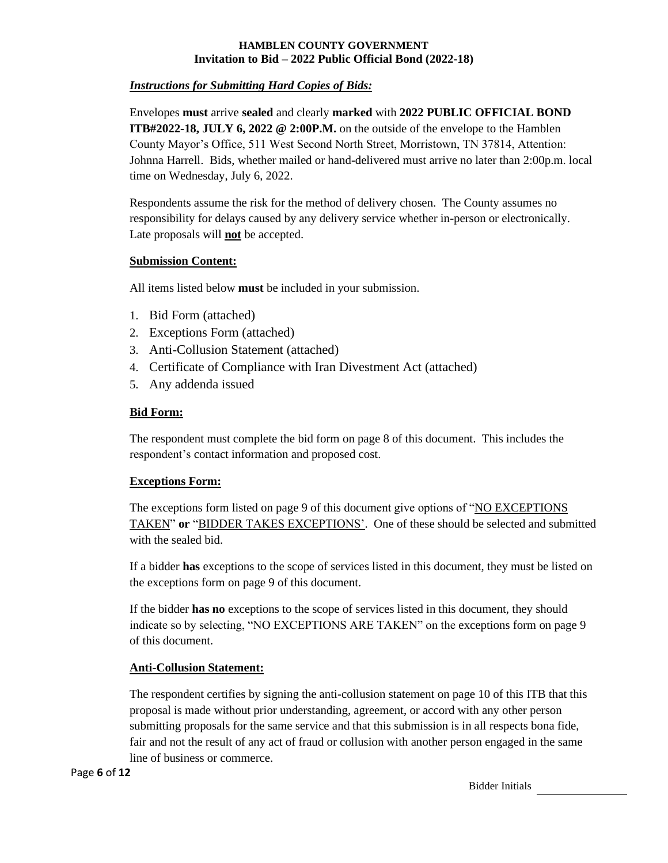## *Instructions for Submitting Hard Copies of Bids:*

Envelopes **must** arrive **sealed** and clearly **marked** with **2022 PUBLIC OFFICIAL BOND ITB#2022-18, JULY 6, 2022 @ 2:00P.M.** on the outside of the envelope to the Hamblen County Mayor's Office, 511 West Second North Street, Morristown, TN 37814, Attention: Johnna Harrell. Bids, whether mailed or hand-delivered must arrive no later than 2:00p.m. local time on Wednesday, July 6, 2022.

Respondents assume the risk for the method of delivery chosen. The County assumes no responsibility for delays caused by any delivery service whether in-person or electronically. Late proposals will **not** be accepted.

## **Submission Content:**

All items listed below **must** be included in your submission.

- 1. Bid Form (attached)
- 2. Exceptions Form (attached)
- 3. Anti-Collusion Statement (attached)
- 4. Certificate of Compliance with Iran Divestment Act (attached)
- 5. Any addenda issued

## **Bid Form:**

The respondent must complete the bid form on page 8 of this document. This includes the respondent's contact information and proposed cost.

## **Exceptions Form:**

The exceptions form listed on page 9 of this document give options of "NO EXCEPTIONS TAKEN" **or** "BIDDER TAKES EXCEPTIONS'. One of these should be selected and submitted with the sealed bid.

If a bidder **has** exceptions to the scope of services listed in this document, they must be listed on the exceptions form on page 9 of this document.

If the bidder **has no** exceptions to the scope of services listed in this document, they should indicate so by selecting, "NO EXCEPTIONS ARE TAKEN" on the exceptions form on page 9 of this document.

## **Anti-Collusion Statement:**

The respondent certifies by signing the anti-collusion statement on page 10 of this ITB that this proposal is made without prior understanding, agreement, or accord with any other person submitting proposals for the same service and that this submission is in all respects bona fide, fair and not the result of any act of fraud or collusion with another person engaged in the same line of business or commerce.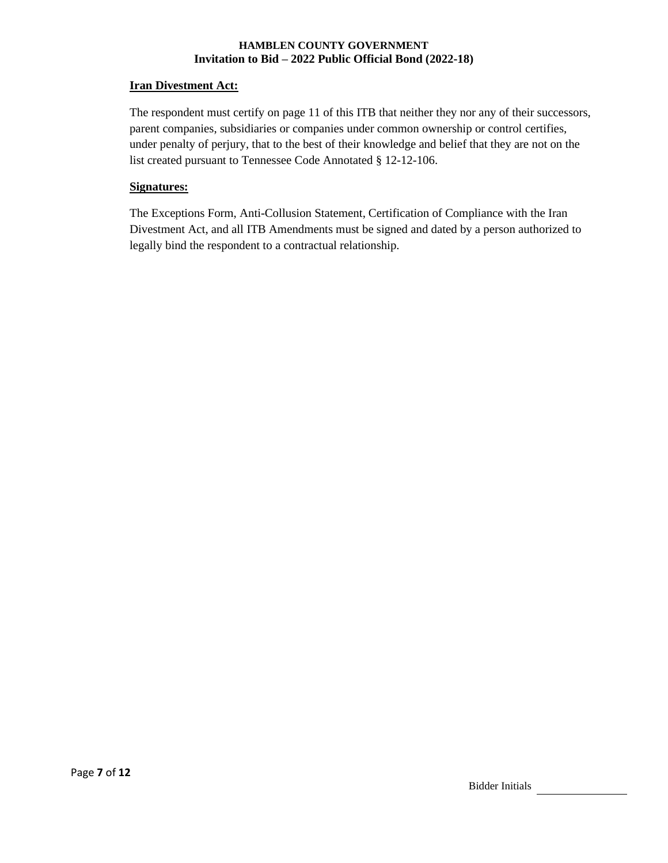#### **Iran Divestment Act:**

The respondent must certify on page 11 of this ITB that neither they nor any of their successors, parent companies, subsidiaries or companies under common ownership or control certifies, under penalty of perjury, that to the best of their knowledge and belief that they are not on the list created pursuant to Tennessee Code Annotated § 12-12-106.

## **Signatures:**

The Exceptions Form, Anti-Collusion Statement, Certification of Compliance with the Iran Divestment Act, and all ITB Amendments must be signed and dated by a person authorized to legally bind the respondent to a contractual relationship.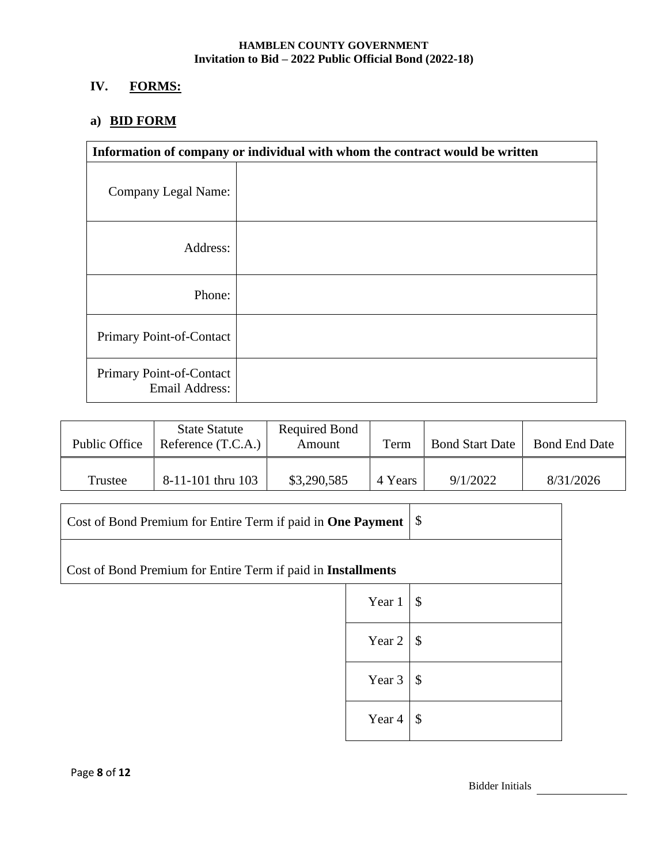# **IV. FORMS:**

# **a) BID FORM**

| Information of company or individual with whom the contract would be written |  |
|------------------------------------------------------------------------------|--|
| <b>Company Legal Name:</b>                                                   |  |
| Address:                                                                     |  |
| Phone:                                                                       |  |
| Primary Point-of-Contact                                                     |  |
| Primary Point-of-Contact<br><b>Email Address:</b>                            |  |

| Public Office | <b>State Statute</b><br>Reference (T.C.A.) | Required Bond<br>Amount | Term    | <b>Bond Start Date</b> | <b>Bond End Date</b> |
|---------------|--------------------------------------------|-------------------------|---------|------------------------|----------------------|
| Trustee       | $8-11-101$ thru $103$                      | \$3,290,585             | 4 Years | 9/1/2022               | 8/31/2026            |

| Cost of Bond Premium for Entire Term if paid in One Payment         |        | $\boldsymbol{\mathsf{\$}}$ |
|---------------------------------------------------------------------|--------|----------------------------|
| Cost of Bond Premium for Entire Term if paid in <b>Installments</b> |        |                            |
|                                                                     | Year 1 | $\boldsymbol{\mathsf{\$}}$ |
|                                                                     | Year 2 | $\mathcal{S}$              |
|                                                                     | Year 3 | $\boldsymbol{\mathsf{\$}}$ |
|                                                                     | Year 4 | $\mathcal{S}$              |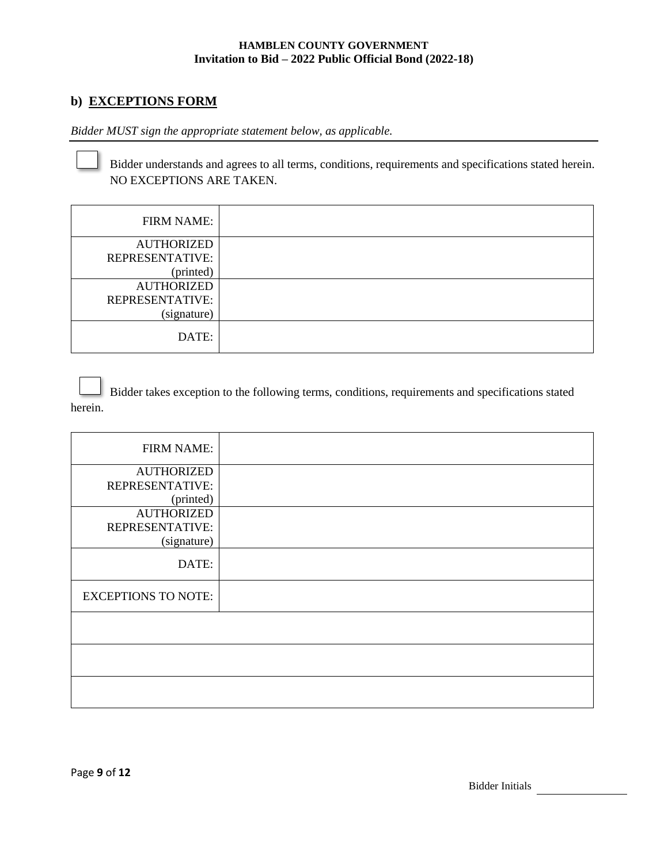## **b) EXCEPTIONS FORM**

*Bidder MUST sign the appropriate statement below, as applicable.*

Bidder understands and agrees to all terms, conditions, requirements and specifications stated herein. NO EXCEPTIONS ARE TAKEN.

| <b>FIRM NAME:</b> |  |
|-------------------|--|
| <b>AUTHORIZED</b> |  |
| REPRESENTATIVE:   |  |
| (printed)         |  |
| <b>AUTHORIZED</b> |  |
| REPRESENTATIVE:   |  |
| (signature)       |  |
| DATE:             |  |

Bidder takes exception to the following terms, conditions, requirements and specifications stated herein.

| <b>FIRM NAME:</b>          |  |
|----------------------------|--|
| <b>AUTHORIZED</b>          |  |
| REPRESENTATIVE:            |  |
| (printed)                  |  |
| <b>AUTHORIZED</b>          |  |
| REPRESENTATIVE:            |  |
| (signature)                |  |
| DATE:                      |  |
| <b>EXCEPTIONS TO NOTE:</b> |  |
|                            |  |
|                            |  |
|                            |  |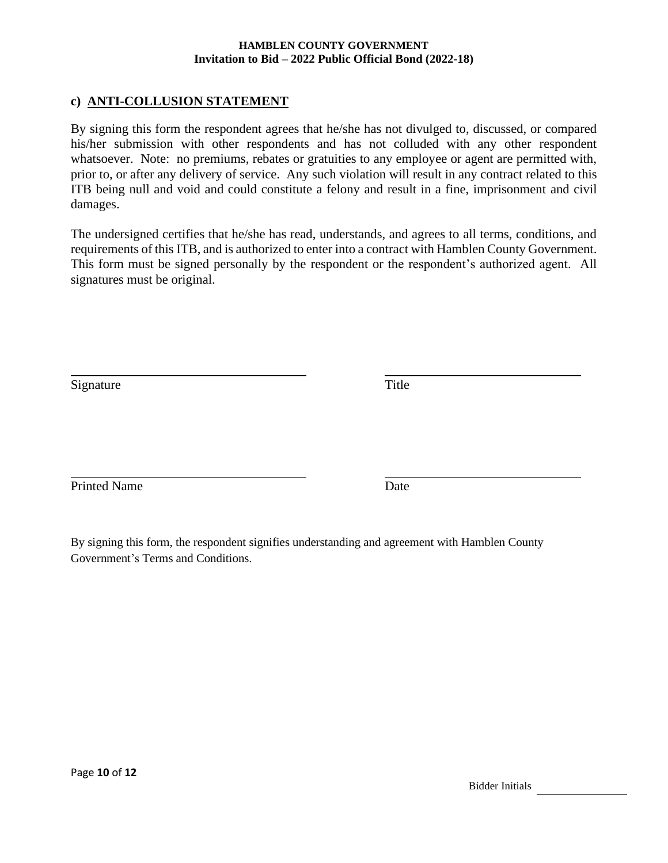## **c) ANTI-COLLUSION STATEMENT**

By signing this form the respondent agrees that he/she has not divulged to, discussed, or compared his/her submission with other respondents and has not colluded with any other respondent whatsoever. Note: no premiums, rebates or gratuities to any employee or agent are permitted with, prior to, or after any delivery of service. Any such violation will result in any contract related to this ITB being null and void and could constitute a felony and result in a fine, imprisonment and civil damages.

The undersigned certifies that he/she has read, understands, and agrees to all terms, conditions, and requirements of this ITB, and is authorized to enter into a contract with Hamblen County Government. This form must be signed personally by the respondent or the respondent's authorized agent. All signatures must be original.

Signature Title

Printed Name Date

By signing this form, the respondent signifies understanding and agreement with Hamblen County Government's Terms and Conditions.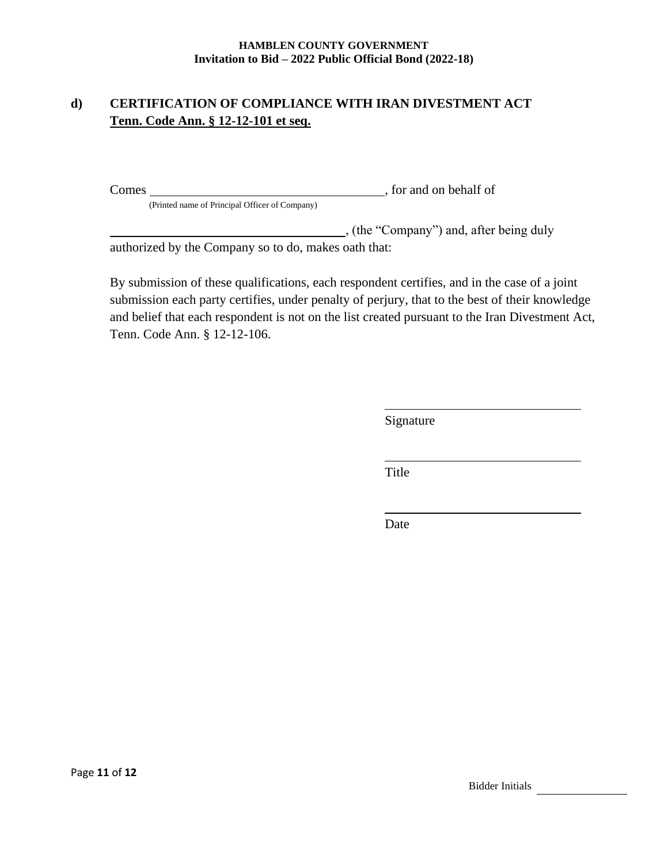# **d) CERTIFICATION OF COMPLIANCE WITH IRAN DIVESTMENT ACT Tenn. Code Ann. § 12-12-101 et seq.**

Comes South Comes Services and Oriental Services and Oriental Services and Oriental Services and Oriental Services and Oriental Services and Oriental Services and Oriental Services and Oriental Services and Oriental Servic (Printed name of Principal Officer of Company)

(the "Company") and, after being duly authorized by the Company so to do, makes oath that:

By submission of these qualifications, each respondent certifies, and in the case of a joint submission each party certifies, under penalty of perjury, that to the best of their knowledge and belief that each respondent is not on the list created pursuant to the Iran Divestment Act, Tenn. Code Ann. § 12-12-106.

Signature

Title

Date